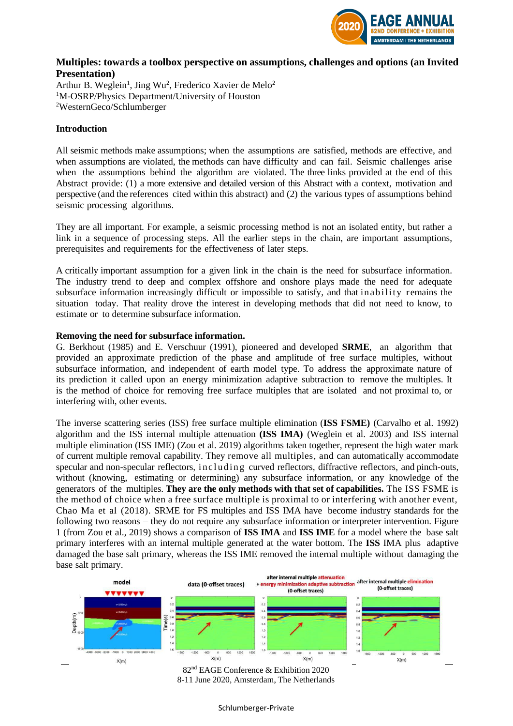

## **Multiples: towards a toolbox perspective on assumptions, challenges and options (an Invited Presentation)**

Arthur B. Weglein<sup>1</sup>, Jing Wu<sup>2</sup>, Frederico Xavier de Melo<sup>2</sup> <sup>1</sup>M-OSRP/Physics Department/University of Houston <sup>2</sup>WesternGeco/Schlumberger

## **Introduction**

All seismic methods make assumptions; when the assumptions are satisfied, methods are effective, and when assumptions are violated, the methods can have difficulty and can fail. Seismic challenges arise when the assumptions behind the algorithm are violated. The three links provided at the end of this Abstract provide: (1) a more extensive and detailed version of this Abstract with a context, motivation and perspective (and the references cited within this abstract) and (2) the various types of assumptions behind seismic processing algorithms.

They are all important. For example, a seismic processing method is not an isolated entity, but rather a link in a sequence of processing steps. All the earlier steps in the chain, are important assumptions, prerequisites and requirements for the effectiveness of later steps.

A critically important assumption for a given link in the chain is the need for subsurface information. The industry trend to deep and complex offshore and onshore plays made the need for adequate subsurface information increasingly difficult or impossible to satisfy, and that inability r emains the situation today. That reality drove the interest in developing methods that did not need to know, to estimate or to determine subsurface information.

## **Removing the need for subsurface information.**

G. Berkhout (1985) and E. Verschuur (1991), pioneered and developed **SRME**, an algorithm that provided an approximate prediction of the phase and amplitude of free surface multiples, without subsurface information, and independent of earth model type. To address the approximate nature of its prediction it called upon an energy minimization adaptive subtraction to remove the multiples. It is the method of choice for removing free surface multiples that are isolated and not proximal to, or interfering with, other events.

The inverse scattering series (ISS) free surface multiple elimination (**ISS FSME)** (Carvalho et al. 1992) algorithm and the ISS internal multiple attenuation **(ISS IMA)** (Weglein et al. 2003) and ISS internal multiple elimination (ISS IME) (Zou et al. 2019) algorithms taken together, represent the high water mark of current multiple removal capability. They remove all multiples, and can automatically accommodate specular and non-specular reflectors, including curved reflectors, diffractive reflectors, and pinch-outs, without (knowing, estimating or determining) any subsurface information, or any knowledge of the generators of the multiples. **They are the only methods with that set of capabilities.** The ISS FSME is the method of choice when a free surface multiple is proximal to or interfering with another event, Chao Ma et al (2018). SRME for FS multiples and ISS IMA have become industry standards for the following two reasons – they do not require any subsurface information or interpreter intervention. Figure 1 (from Zou et al., 2019) shows a comparison of **ISS IMA** and **ISS IME** for a model where the base salt primary interferes with an internal multiple generated at the water bottom. The **ISS** IMA plus adaptive damaged the base salt primary, whereas the ISS IME removed the internal multiple without damaging the base salt primary.



82nd EAGE Conference & Exhibition 2020 8-11 June 2020, Amsterdam, The Netherlands